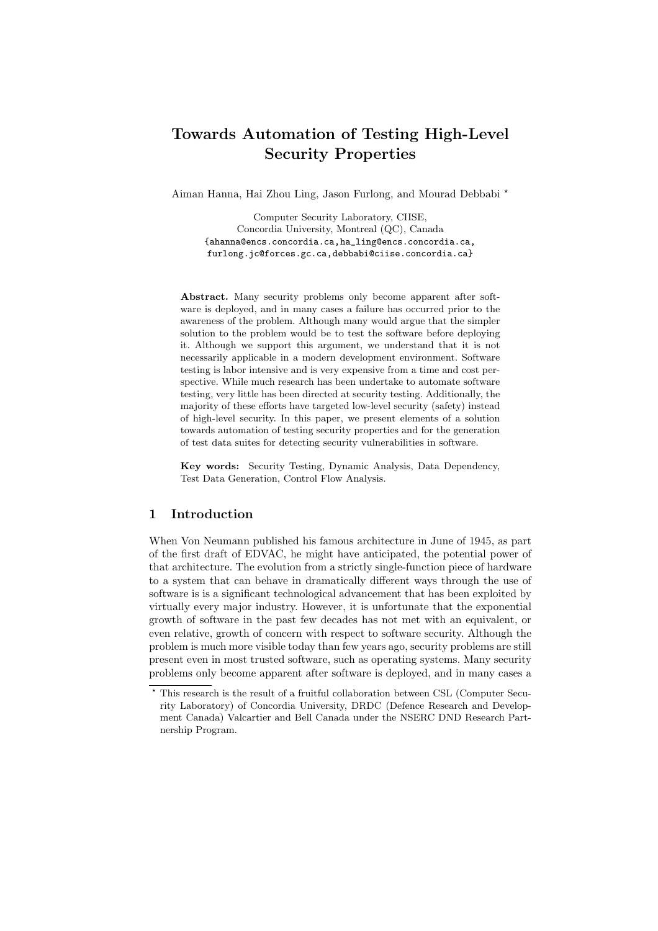# Towards Automation of Testing High-Level Security Properties

Aiman Hanna, Hai Zhou Ling, Jason Furlong, and Mourad Debbabi ?

Computer Security Laboratory, CIISE, Concordia University, Montreal (QC), Canada {ahanna@encs.concordia.ca,ha\_ling@encs.concordia.ca, furlong.jc@forces.gc.ca,debbabi@ciise.concordia.ca}

Abstract. Many security problems only become apparent after software is deployed, and in many cases a failure has occurred prior to the awareness of the problem. Although many would argue that the simpler solution to the problem would be to test the software before deploying it. Although we support this argument, we understand that it is not necessarily applicable in a modern development environment. Software testing is labor intensive and is very expensive from a time and cost perspective. While much research has been undertake to automate software testing, very little has been directed at security testing. Additionally, the majority of these efforts have targeted low-level security (safety) instead of high-level security. In this paper, we present elements of a solution towards automation of testing security properties and for the generation of test data suites for detecting security vulnerabilities in software.

Key words: Security Testing, Dynamic Analysis, Data Dependency, Test Data Generation, Control Flow Analysis.

#### 1 Introduction

When Von Neumann published his famous architecture in June of 1945, as part of the first draft of EDVAC, he might have anticipated, the potential power of that architecture. The evolution from a strictly single-function piece of hardware to a system that can behave in dramatically different ways through the use of software is is a significant technological advancement that has been exploited by virtually every major industry. However, it is unfortunate that the exponential growth of software in the past few decades has not met with an equivalent, or even relative, growth of concern with respect to software security. Although the problem is much more visible today than few years ago, security problems are still present even in most trusted software, such as operating systems. Many security problems only become apparent after software is deployed, and in many cases a

<sup>?</sup> This research is the result of a fruitful collaboration between CSL (Computer Security Laboratory) of Concordia University, DRDC (Defence Research and Development Canada) Valcartier and Bell Canada under the NSERC DND Research Partnership Program.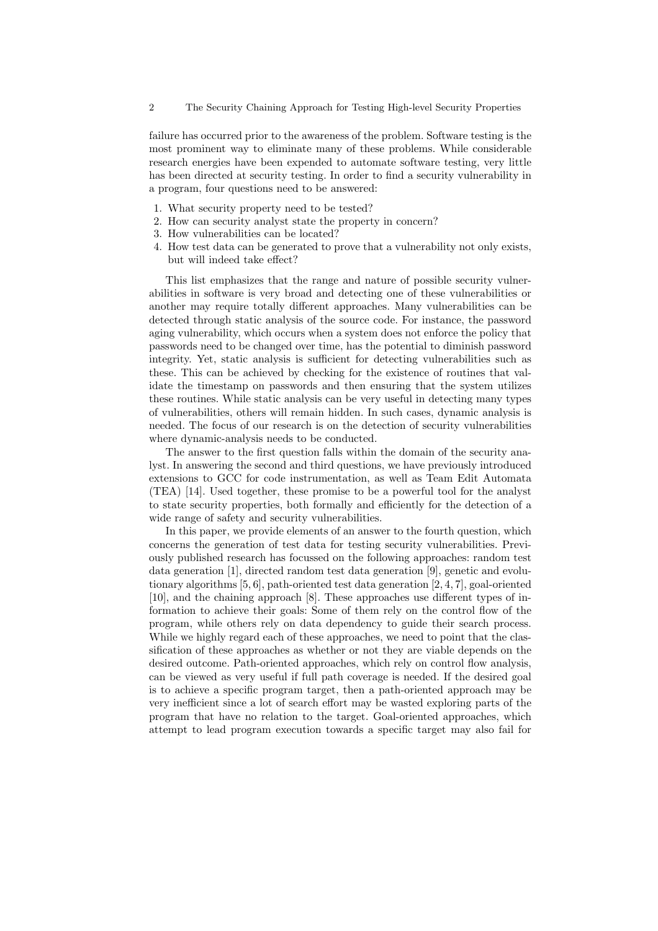failure has occurred prior to the awareness of the problem. Software testing is the most prominent way to eliminate many of these problems. While considerable research energies have been expended to automate software testing, very little has been directed at security testing. In order to find a security vulnerability in a program, four questions need to be answered:

- 1. What security property need to be tested?
- 2. How can security analyst state the property in concern?
- 3. How vulnerabilities can be located?
- 4. How test data can be generated to prove that a vulnerability not only exists, but will indeed take effect?

This list emphasizes that the range and nature of possible security vulnerabilities in software is very broad and detecting one of these vulnerabilities or another may require totally different approaches. Many vulnerabilities can be detected through static analysis of the source code. For instance, the password aging vulnerability, which occurs when a system does not enforce the policy that passwords need to be changed over time, has the potential to diminish password integrity. Yet, static analysis is sufficient for detecting vulnerabilities such as these. This can be achieved by checking for the existence of routines that validate the timestamp on passwords and then ensuring that the system utilizes these routines. While static analysis can be very useful in detecting many types of vulnerabilities, others will remain hidden. In such cases, dynamic analysis is needed. The focus of our research is on the detection of security vulnerabilities where dynamic-analysis needs to be conducted.

The answer to the first question falls within the domain of the security analyst. In answering the second and third questions, we have previously introduced extensions to GCC for code instrumentation, as well as Team Edit Automata (TEA) [14]. Used together, these promise to be a powerful tool for the analyst to state security properties, both formally and efficiently for the detection of a wide range of safety and security vulnerabilities.

In this paper, we provide elements of an answer to the fourth question, which concerns the generation of test data for testing security vulnerabilities. Previously published research has focussed on the following approaches: random test data generation [1], directed random test data generation [9], genetic and evolutionary algorithms [5, 6], path-oriented test data generation [2, 4, 7], goal-oriented [10], and the chaining approach [8]. These approaches use different types of information to achieve their goals: Some of them rely on the control flow of the program, while others rely on data dependency to guide their search process. While we highly regard each of these approaches, we need to point that the classification of these approaches as whether or not they are viable depends on the desired outcome. Path-oriented approaches, which rely on control flow analysis, can be viewed as very useful if full path coverage is needed. If the desired goal is to achieve a specific program target, then a path-oriented approach may be very inefficient since a lot of search effort may be wasted exploring parts of the program that have no relation to the target. Goal-oriented approaches, which attempt to lead program execution towards a specific target may also fail for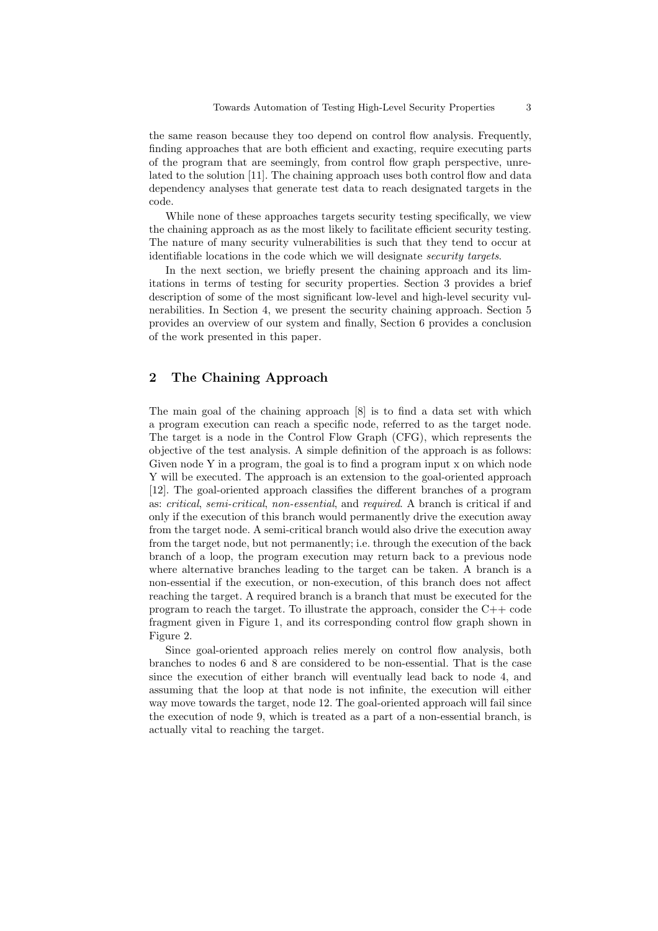the same reason because they too depend on control flow analysis. Frequently, finding approaches that are both efficient and exacting, require executing parts of the program that are seemingly, from control flow graph perspective, unrelated to the solution [11]. The chaining approach uses both control flow and data dependency analyses that generate test data to reach designated targets in the code.

While none of these approaches targets security testing specifically, we view the chaining approach as as the most likely to facilitate efficient security testing. The nature of many security vulnerabilities is such that they tend to occur at identifiable locations in the code which we will designate security targets.

In the next section, we briefly present the chaining approach and its limitations in terms of testing for security properties. Section 3 provides a brief description of some of the most significant low-level and high-level security vulnerabilities. In Section 4, we present the security chaining approach. Section 5 provides an overview of our system and finally, Section 6 provides a conclusion of the work presented in this paper.

### 2 The Chaining Approach

The main goal of the chaining approach [8] is to find a data set with which a program execution can reach a specific node, referred to as the target node. The target is a node in the Control Flow Graph (CFG), which represents the objective of the test analysis. A simple definition of the approach is as follows: Given node Y in a program, the goal is to find a program input x on which node Y will be executed. The approach is an extension to the goal-oriented approach [12]. The goal-oriented approach classifies the different branches of a program as: critical, semi-critical, non-essential, and required. A branch is critical if and only if the execution of this branch would permanently drive the execution away from the target node. A semi-critical branch would also drive the execution away from the target node, but not permanently; i.e. through the execution of the back branch of a loop, the program execution may return back to a previous node where alternative branches leading to the target can be taken. A branch is a non-essential if the execution, or non-execution, of this branch does not affect reaching the target. A required branch is a branch that must be executed for the program to reach the target. To illustrate the approach, consider the C++ code fragment given in Figure 1, and its corresponding control flow graph shown in Figure 2.

Since goal-oriented approach relies merely on control flow analysis, both branches to nodes 6 and 8 are considered to be non-essential. That is the case since the execution of either branch will eventually lead back to node 4, and assuming that the loop at that node is not infinite, the execution will either way move towards the target, node 12. The goal-oriented approach will fail since the execution of node 9, which is treated as a part of a non-essential branch, is actually vital to reaching the target.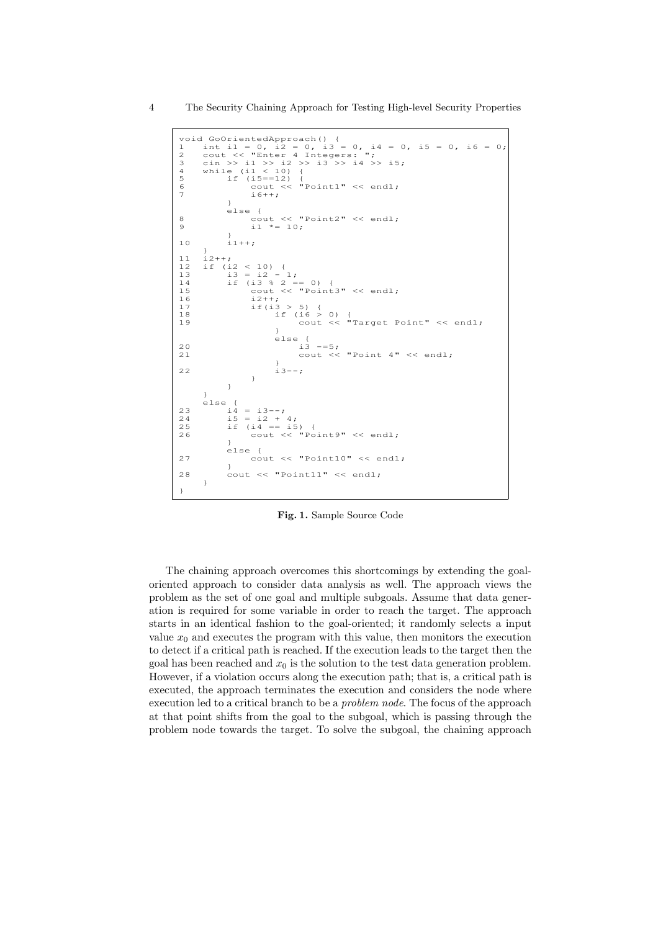```
void GoOrientedApproach() { 
1 int i1 = 0, i2 = 0, i3 = 0, i4 = 0, i5 = 0, i6 = 0;<br>
2 cout << "Enter 4 Integers: ";<br>
3 cin >> i1 >> i2 >> i3 >> i4 >> i5;<br>
4 while (i1 < 10) {<br>
5 if (i5==12) {
5 if (i5==12) {<br>6 cout << "Point1" << endl;<br>7 i6++;
                i6++; } 
else {<br>8 cc
8 cout << "Point2" << endl;<br>
9 i1 *= 10;
 } 
10 i1++;\sim \sim \sim \sim11 i2++;<br>
12 if (i2<br>
13 i3
12 if (i2 < 10) {
13 i3 = i2 - 1; 
14 if (i3 % 2 == 0) { 
14 if (i3 \text{ } 2 == 0) {<br>15 cout << "Point3" << endl;<br>16 i2++;
16 i2++;<br>17 i f (i3)17 if(i3 > 5) {<br>
18 if(i6 > 19)if (i6 > 0)<br>cout \lt\lt{<br>"Target Point" << endl;
 } 
 else { 
20 i3 -5;<br>21 \c{out} <<zout << "Point 4" << endl;
 } 
22 i3--; } 
 } 
\longrightarrowelse {<br>23 i4
23 i4 = i3--;<br>
24 i5 = i2 +<br>
25 i f (i4 ==24 i5 = i2 + 4;<br>
25 i f (i4 == i5)26 cout \lt\lt "Point9" \lt\lt endl;
 } 
else {<br>27 cc
                cout << "Point10" << endl;
 } 
28 cout << "Point11" << endl; 
\longrightarrow}
```
Fig. 1. Sample Source Code

The chaining approach overcomes this shortcomings by extending the goaloriented approach to consider data analysis as well. The approach views the problem as the set of one goal and multiple subgoals. Assume that data generation is required for some variable in order to reach the target. The approach starts in an identical fashion to the goal-oriented; it randomly selects a input value  $x_0$  and executes the program with this value, then monitors the execution to detect if a critical path is reached. If the execution leads to the target then the goal has been reached and  $x_0$  is the solution to the test data generation problem. However, if a violation occurs along the execution path; that is, a critical path is executed, the approach terminates the execution and considers the node where execution led to a critical branch to be a problem node. The focus of the approach at that point shifts from the goal to the subgoal, which is passing through the problem node towards the target. To solve the subgoal, the chaining approach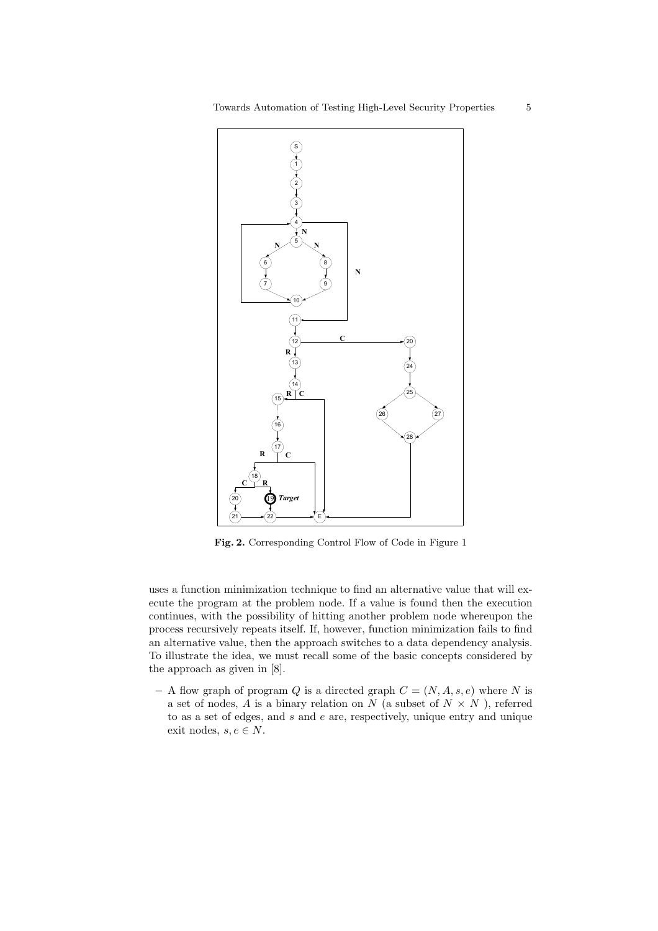

Fig. 2. Corresponding Control Flow of Code in Figure 1

uses a function minimization technique to find an alternative value that will execute the program at the problem node. If a value is found then the execution continues, with the possibility of hitting another problem node whereupon the process recursively repeats itself. If, however, function minimization fails to find an alternative value, then the approach switches to a data dependency analysis. To illustrate the idea, we must recall some of the basic concepts considered by the approach as given in [8].

– A flow graph of program Q is a directed graph  $C = (N, A, s, e)$  where N is a set of nodes, A is a binary relation on N (a subset of  $N \times N$ ), referred to as a set of edges, and  $s$  and  $e$  are, respectively, unique entry and unique exit nodes,  $s, e \in N$ .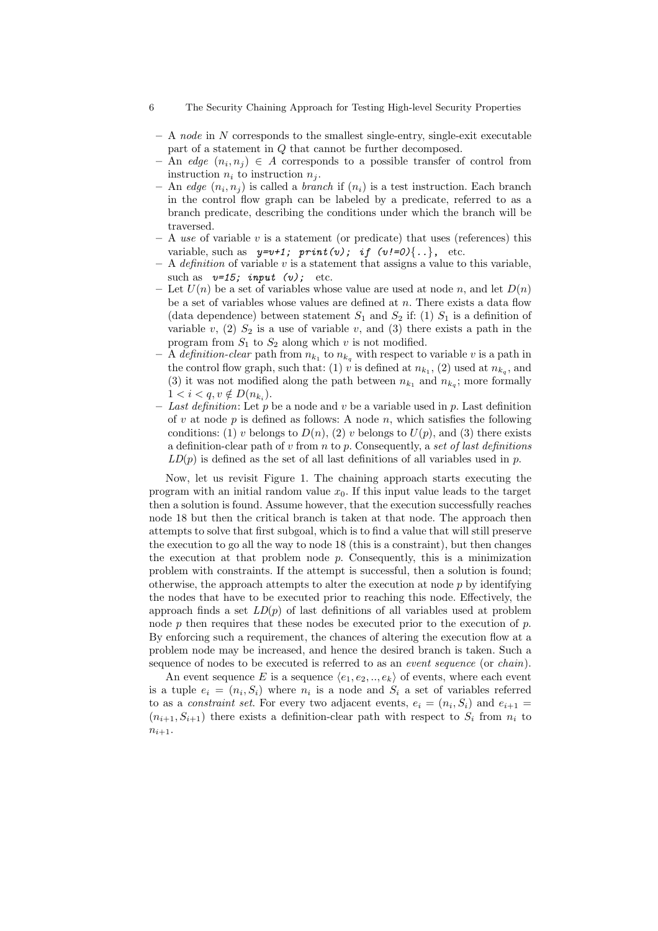#### 6 The Security Chaining Approach for Testing High-level Security Properties

- $A$  node in N corresponds to the smallest single-entry, single-exit executable part of a statement in Q that cannot be further decomposed.
- $-$  An edge  $(n_i, n_j) \in A$  corresponds to a possible transfer of control from instruction  $n_i$  to instruction  $n_j$ .
- An edge  $(n_i, n_j)$  is called a *branch* if  $(n_i)$  is a test instruction. Each branch in the control flow graph can be labeled by a predicate, referred to as a branch predicate, describing the conditions under which the branch will be traversed.
- A use of variable v is a statement (or predicate) that uses (references) this variable, such as  $y=v+1$ ;  $print(v)$ ; if  $(v!=0){...}$ , etc.
- $A$  definition of variable v is a statement that assigns a value to this variable, such as  $v=15$ ; input  $(v)$ ; etc.
- Let  $U(n)$  be a set of variables whose value are used at node n, and let  $D(n)$ be a set of variables whose values are defined at  $n$ . There exists a data flow (data dependence) between statement  $S_1$  and  $S_2$  if: (1)  $S_1$  is a definition of variable v,  $(2)$   $S_2$  is a use of variable v, and  $(3)$  there exists a path in the program from  $S_1$  to  $S_2$  along which v is not modified.
- $A \ definition$ -clear path from  $n_{k_1}$  to  $n_{k_q}$  with respect to variable v is a path in the control flow graph, such that: (1) v is defined at  $n_{k_1}$ , (2) used at  $n_{k_q}$ , and (3) it was not modified along the path between  $n_{k_1}$  and  $n_{k_q}$ ; more formally  $1 < i < q, v \notin D(n_{k_i}).$
- Last definition: Let p be a node and v be a variable used in p. Last definition of v at node  $p$  is defined as follows: A node  $n$ , which satisfies the following conditions: (1) v belongs to  $D(n)$ , (2) v belongs to  $U(p)$ , and (3) there exists a definition-clear path of  $v$  from  $n$  to  $p$ . Consequently, a set of last definitions  $LD(p)$  is defined as the set of all last definitions of all variables used in p.

Now, let us revisit Figure 1. The chaining approach starts executing the program with an initial random value  $x<sub>0</sub>$ . If this input value leads to the target then a solution is found. Assume however, that the execution successfully reaches node 18 but then the critical branch is taken at that node. The approach then attempts to solve that first subgoal, which is to find a value that will still preserve the execution to go all the way to node 18 (this is a constraint), but then changes the execution at that problem node  $p$ . Consequently, this is a minimization problem with constraints. If the attempt is successful, then a solution is found; otherwise, the approach attempts to alter the execution at node  $p$  by identifying the nodes that have to be executed prior to reaching this node. Effectively, the approach finds a set  $LD(p)$  of last definitions of all variables used at problem node p then requires that these nodes be executed prior to the execution of p. By enforcing such a requirement, the chances of altering the execution flow at a problem node may be increased, and hence the desired branch is taken. Such a sequence of nodes to be executed is referred to as an *event sequence* (or *chain*).

An event sequence E is a sequence  $\langle e_1, e_2, ..., e_k \rangle$  of events, where each event is a tuple  $e_i = (n_i, S_i)$  where  $n_i$  is a node and  $S_i$  a set of variables referred to as a *constraint set*. For every two adjacent events,  $e_i = (n_i, S_i)$  and  $e_{i+1} =$  $(n_{i+1}, S_{i+1})$  there exists a definition-clear path with respect to  $S_i$  from  $n_i$  to  $n_{i+1}.$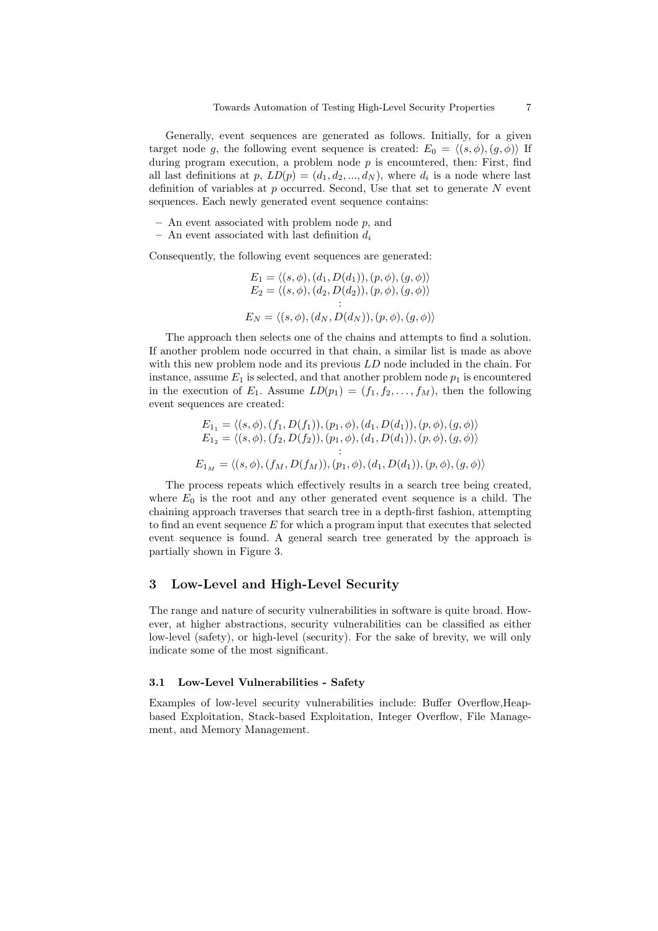Generally, event sequences are generated as follows. Initially, for a given target node g, the following event sequence is created:  $E_0 = \langle (s, \phi), (g, \phi) \rangle$  If during program execution, a problem node  $p$  is encountered, then: First, find all last definitions at  $p$ ,  $LD(p) = (d_1, d_2, ..., d_N)$ , where  $d_i$  is a node where last definition of variables at p occurred. Second, Use that set to generate  $N$  event sequences. Each newly generated event sequence contains:

 $-$  An event associated with problem node  $p$ , and

– An event associated with last definition  $d_i$ 

Consequently, the following event sequences are generated:

$$
E_1 = \langle (s, \phi), (d_1, D(d_1)), (p, \phi), (g, \phi) \rangle
$$
  
\n
$$
E_2 = \langle (s, \phi), (d_2, D(d_2)), (p, \phi), (g, \phi) \rangle
$$
  
\n
$$
E_N = \langle (s, \phi), (d_N, D(d_N)), (p, \phi), (g, \phi) \rangle
$$

The approach then selects one of the chains and attempts to find a solution. If another problem node occurred in that chain, a similar list is made as above with this new problem node and its previous  $LD$  node included in the chain. For instance, assume  $E_1$  is selected, and that another problem node  $p_1$  is encountered in the execution of  $E_1$ . Assume  $LD(p_1) = (f_1, f_2, \ldots, f_M)$ , then the following event sequences are created:

$$
E_{1_1} = \langle (s, \phi), (f_1, D(f_1)), (p_1, \phi), (d_1, D(d_1)), (p, \phi), (g, \phi) \rangle
$$
  
\n
$$
E_{1_2} = \langle (s, \phi), (f_2, D(f_2)), (p_1, \phi), (d_1, D(d_1)), (p, \phi), (g, \phi) \rangle
$$
  
\n:  
\n
$$
E_{1_M} = \langle (s, \phi), (f_M, D(f_M)), (p_1, \phi), (d_1, D(d_1)), (p, \phi), (g, \phi) \rangle
$$

The process repeats which effectively results in a search tree being created, where  $E_0$  is the root and any other generated event sequence is a child. The chaining approach traverses that search tree in a depth-first fashion, attempting to find an event sequence  $E$  for which a program input that executes that selected event sequence is found. A general search tree generated by the approach is partially shown in Figure 3.

#### 3 Low-Level and High-Level Security

The range and nature of security vulnerabilities in software is quite broad. However, at higher abstractions, security vulnerabilities can be classified as either low-level (safety), or high-level (security). For the sake of brevity, we will only indicate some of the most significant.

#### 3.1 Low-Level Vulnerabilities - Safety

Examples of low-level security vulnerabilities include: Buffer Overflow,Heapbased Exploitation, Stack-based Exploitation, Integer Overflow, File Management, and Memory Management.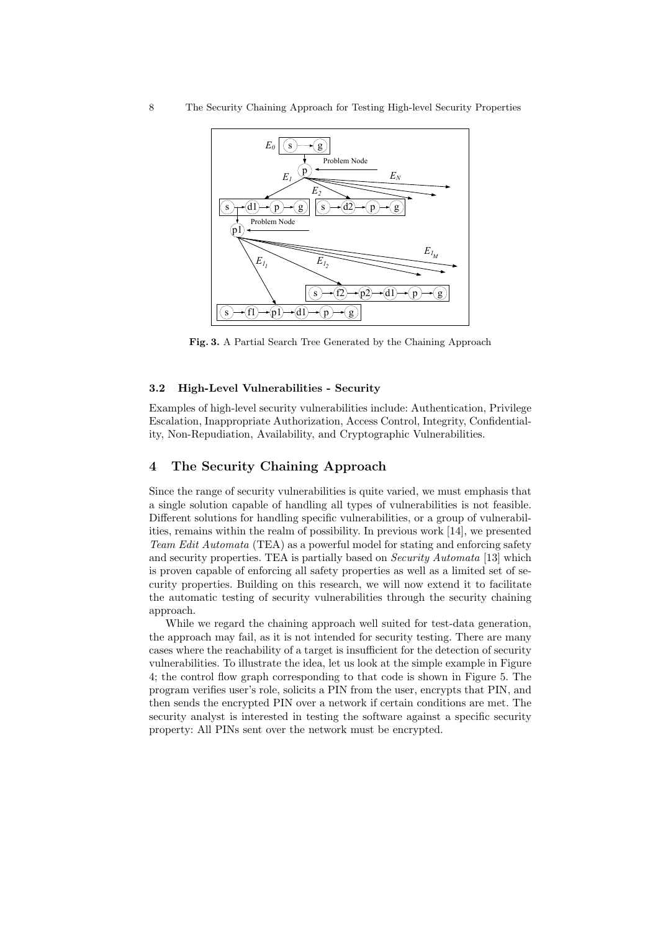

Fig. 3. A Partial Search Tree Generated by the Chaining Approach

#### 3.2 High-Level Vulnerabilities - Security

Examples of high-level security vulnerabilities include: Authentication, Privilege Escalation, Inappropriate Authorization, Access Control, Integrity, Confidentiality, Non-Repudiation, Availability, and Cryptographic Vulnerabilities.

## 4 The Security Chaining Approach

Since the range of security vulnerabilities is quite varied, we must emphasis that a single solution capable of handling all types of vulnerabilities is not feasible. Different solutions for handling specific vulnerabilities, or a group of vulnerabilities, remains within the realm of possibility. In previous work [14], we presented Team Edit Automata (TEA) as a powerful model for stating and enforcing safety and security properties. TEA is partially based on Security Automata [13] which is proven capable of enforcing all safety properties as well as a limited set of security properties. Building on this research, we will now extend it to facilitate the automatic testing of security vulnerabilities through the security chaining approach.

While we regard the chaining approach well suited for test-data generation, the approach may fail, as it is not intended for security testing. There are many cases where the reachability of a target is insufficient for the detection of security vulnerabilities. To illustrate the idea, let us look at the simple example in Figure 4; the control flow graph corresponding to that code is shown in Figure 5. The program verifies user's role, solicits a PIN from the user, encrypts that PIN, and then sends the encrypted PIN over a network if certain conditions are met. The security analyst is interested in testing the software against a specific security property: All PINs sent over the network must be encrypted.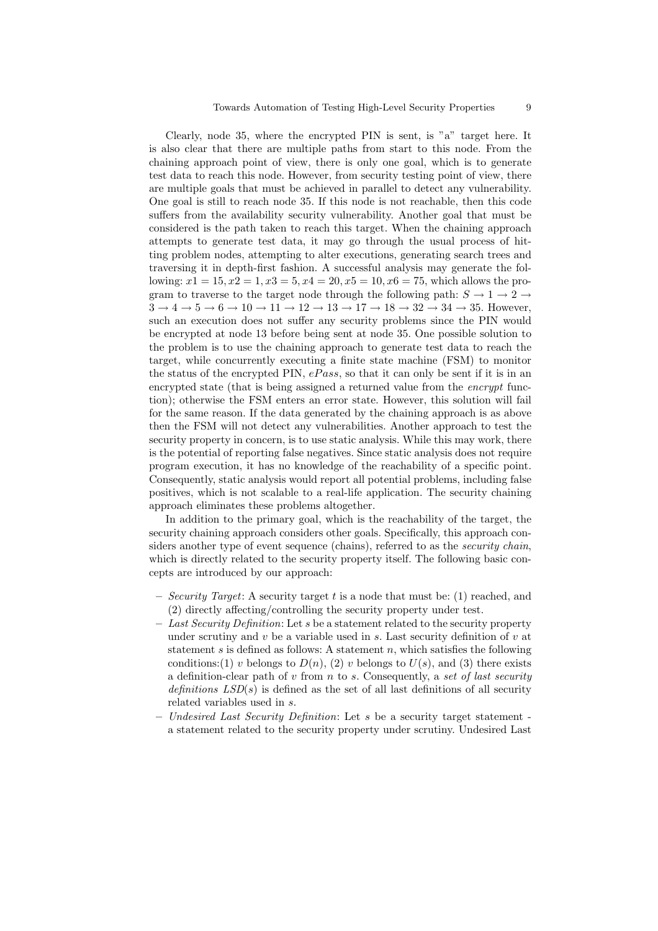Clearly, node 35, where the encrypted PIN is sent, is "a" target here. It is also clear that there are multiple paths from start to this node. From the chaining approach point of view, there is only one goal, which is to generate test data to reach this node. However, from security testing point of view, there are multiple goals that must be achieved in parallel to detect any vulnerability. One goal is still to reach node 35. If this node is not reachable, then this code suffers from the availability security vulnerability. Another goal that must be considered is the path taken to reach this target. When the chaining approach attempts to generate test data, it may go through the usual process of hitting problem nodes, attempting to alter executions, generating search trees and traversing it in depth-first fashion. A successful analysis may generate the following:  $x_1 = 15$ ,  $x_2 = 1$ ,  $x_3 = 5$ ,  $x_4 = 20$ ,  $x_5 = 10$ ,  $x_6 = 75$ , which allows the program to traverse to the target node through the following path:  $S \to 1 \to 2 \to$  $3 \rightarrow 4 \rightarrow 5 \rightarrow 6 \rightarrow 10 \rightarrow 11 \rightarrow 12 \rightarrow 13 \rightarrow 17 \rightarrow 18 \rightarrow 32 \rightarrow 34 \rightarrow 35$ . However, such an execution does not suffer any security problems since the PIN would be encrypted at node 13 before being sent at node 35. One possible solution to the problem is to use the chaining approach to generate test data to reach the target, while concurrently executing a finite state machine (FSM) to monitor the status of the encrypted PIN,  $ePass$ , so that it can only be sent if it is in an encrypted state (that is being assigned a returned value from the *encrypt* function); otherwise the FSM enters an error state. However, this solution will fail for the same reason. If the data generated by the chaining approach is as above then the FSM will not detect any vulnerabilities. Another approach to test the security property in concern, is to use static analysis. While this may work, there is the potential of reporting false negatives. Since static analysis does not require program execution, it has no knowledge of the reachability of a specific point. Consequently, static analysis would report all potential problems, including false positives, which is not scalable to a real-life application. The security chaining approach eliminates these problems altogether.

In addition to the primary goal, which is the reachability of the target, the security chaining approach considers other goals. Specifically, this approach considers another type of event sequence (chains), referred to as the *security chain*, which is directly related to the security property itself. The following basic concepts are introduced by our approach:

- Security Target: A security target t is a node that must be: (1) reached, and (2) directly affecting/controlling the security property under test.
- $-$  Last Security Definition: Let s be a statement related to the security property under scrutiny and  $v$  be a variable used in s. Last security definition of  $v$  at statement s is defined as follows: A statement  $n$ , which satisfies the following conditions:(1) v belongs to  $D(n)$ , (2) v belongs to  $U(s)$ , and (3) there exists a definition-clear path of v from n to s. Consequently, a set of last security definitions  $LSD(s)$  is defined as the set of all last definitions of all security related variables used in s.
- Undesired Last Security Definition: Let  $s$  be a security target statement a statement related to the security property under scrutiny. Undesired Last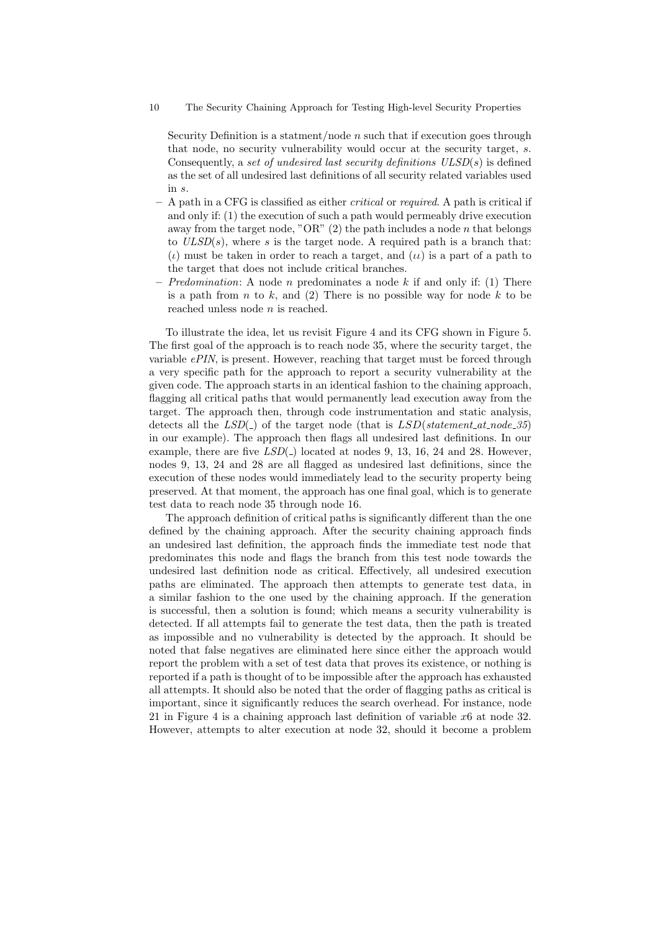10 The Security Chaining Approach for Testing High-level Security Properties

Security Definition is a statement/node  $n$  such that if execution goes through that node, no security vulnerability would occur at the security target, s. Consequently, a set of undesired last security definitions  $ULSD(s)$  is defined as the set of all undesired last definitions of all security related variables used in s.

- $-$  A path in a CFG is classified as either *critical* or *required*. A path is critical if and only if: (1) the execution of such a path would permeably drive execution away from the target node, " $OR$ " (2) the path includes a node *n* that belongs to  $ULSD(s)$ , where s is the target node. A required path is a branch that: (*i*) must be taken in order to reach a target, and  $(u)$  is a part of a path to the target that does not include critical branches.
- Predomination: A node n predominates a node k if and only if: (1) There is a path from  $n$  to  $k$ , and (2) There is no possible way for node  $k$  to be reached unless node n is reached.

To illustrate the idea, let us revisit Figure 4 and its CFG shown in Figure 5. The first goal of the approach is to reach node 35, where the security target, the variable  $ePIN$ , is present. However, reaching that target must be forced through a very specific path for the approach to report a security vulnerability at the given code. The approach starts in an identical fashion to the chaining approach, flagging all critical paths that would permanently lead execution away from the target. The approach then, through code instrumentation and static analysis, detects all the  $LSD( )$  of the target node (that is  $LSD(statement_at-node_35)$ ) in our example). The approach then flags all undesired last definitions. In our example, there are five  $LSD( )$  located at nodes 9, 13, 16, 24 and 28. However, nodes 9, 13, 24 and 28 are all flagged as undesired last definitions, since the execution of these nodes would immediately lead to the security property being preserved. At that moment, the approach has one final goal, which is to generate test data to reach node 35 through node 16.

The approach definition of critical paths is significantly different than the one defined by the chaining approach. After the security chaining approach finds an undesired last definition, the approach finds the immediate test node that predominates this node and flags the branch from this test node towards the undesired last definition node as critical. Effectively, all undesired execution paths are eliminated. The approach then attempts to generate test data, in a similar fashion to the one used by the chaining approach. If the generation is successful, then a solution is found; which means a security vulnerability is detected. If all attempts fail to generate the test data, then the path is treated as impossible and no vulnerability is detected by the approach. It should be noted that false negatives are eliminated here since either the approach would report the problem with a set of test data that proves its existence, or nothing is reported if a path is thought of to be impossible after the approach has exhausted all attempts. It should also be noted that the order of flagging paths as critical is important, since it significantly reduces the search overhead. For instance, node 21 in Figure 4 is a chaining approach last definition of variable  $x6$  at node 32. However, attempts to alter execution at node 32, should it become a problem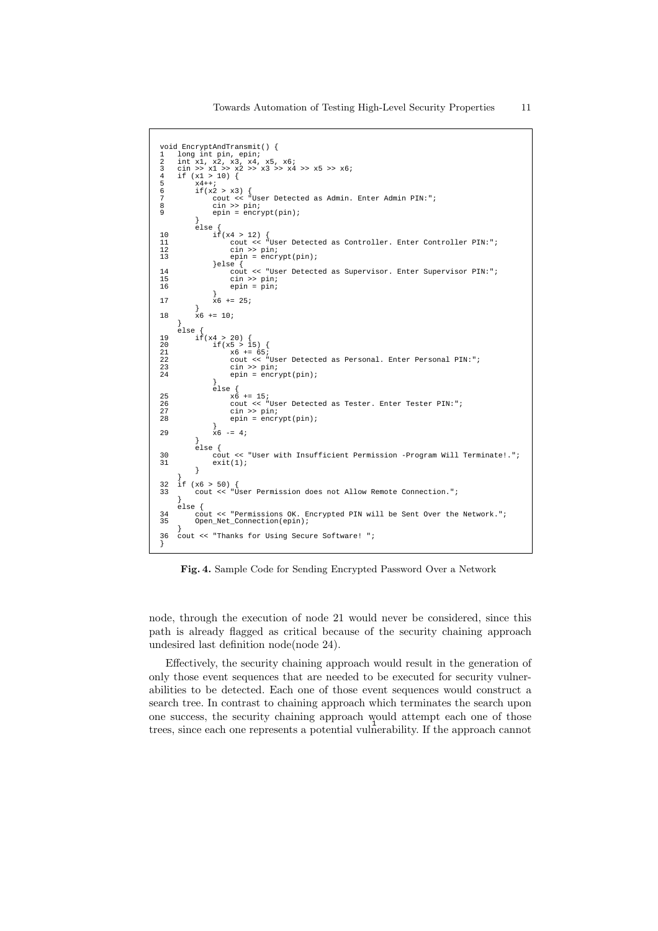```
void EncryptAndTransmit() {<br>1 long int pin epin:
1 long int pin, epin;<br>2 int x1, x2, x3, x4, x5, x6;<br>3 cin >> x1 >> x2 >> x3 >> x4 >> x5 >> x6;<br>4 if (x1 > 10) {
5 x4++; 
6 if(x2 > x3) { 
7 cout << "User Detected as Admin. Enter Admin PIN:";
8 cin >> pin;
9 epin = encrypt(pin); 
}<br>
else {<br>
10 if(x4 > 12) {<br>
cout << "User Detected as Controller. Enter Controller PIN:";<br>
21 cin >> pin;<br>
epin = encrypt(pin);
12 cout > v oser betect<br>
12 cin >> pin<br>
epin = encrypt (pin) ;<br>
}else {<br>
cout << "User Detect<br>
15 cin >> pin;
14 cout << "User Detected as Supervisor. Enter Supervisor PIN:"; 
15 cin >> pin; 
16 epin = pin; 
\begin{array}{c} \n17 \\
 \times 6 \quad += \quad 25 \, ; \n\end{array} }
18 \times 6 \div 10;}<br>
else {<br>
19 if(x4 > 20) {<br>
20 if(x5 > 15) {<br>
x6 += 65;<br>
22 cout << "User Detected as Personal. Enter Personal PIN:";<br>
23 cin >> pin;<br>
epin = encrypt(pin);<br>
}<br>
else {
25 x6 += 15; 
26 cout << "User Detected as Tester. Enter Tester PIN:"; 
27 cin >> pin; 
28 epin = encrypt(pin); 
 } 
29 x6 = 4; } 
\frac{1}{20} else {
30 cout << "User with Insufficient Permission -Program Will Terminate!.";<br>31 exit(1);
                 ext(1); } 
 } 
32 if (x6 > 50) {
33 cout << "User Permission does not Allow Remote Connection.";
 } 
else {<br>34 cc
34 cout << "Permissions OK. Encrypted PIN will be Sent Over the Network.";<br>35 Open_Net_Connection(epin);
           35 Open_Net_Connection(epin); 
 } 
36 cout << "Thanks for Using Secure Software! "; 
36
```
Fig. 4. Sample Code for Sending Encrypted Password Over a Network

node, through the execution of node 21 would never be considered, since this path is already flagged as critical because of the security chaining approach undesired last definition node(node 24).

trees, since each one represents a potential vulnerability. If the approach cannot Effectively, the security chaining approach would result in the generation of only those event sequences that are needed to be executed for security vulnerabilities to be detected. Each one of those event sequences would construct a search tree. In contrast to chaining approach which terminates the search upon one success, the security chaining approach would attempt each one of those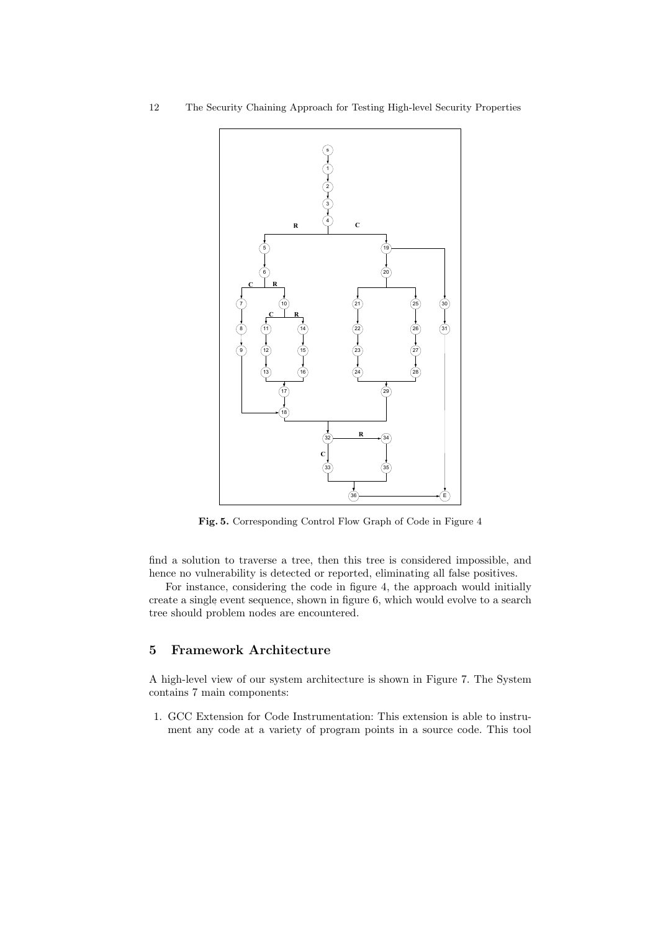

Fig. 5. Corresponding Control Flow Graph of Code in Figure 4

find a solution to traverse a tree, then this tree is considered impossible, and hence no vulnerability is detected or reported, eliminating all false positives.

For instance, considering the code in figure 4, the approach would initially create a single event sequence, shown in figure 6, which would evolve to a search tree should problem nodes are encountered.

## 5 Framework Architecture

A high-level view of our system architecture is shown in Figure 7. The System contains 7 main components:

1. GCC Extension for Code Instrumentation: This extension is able to instrument any code at a variety of program points in a source code. This tool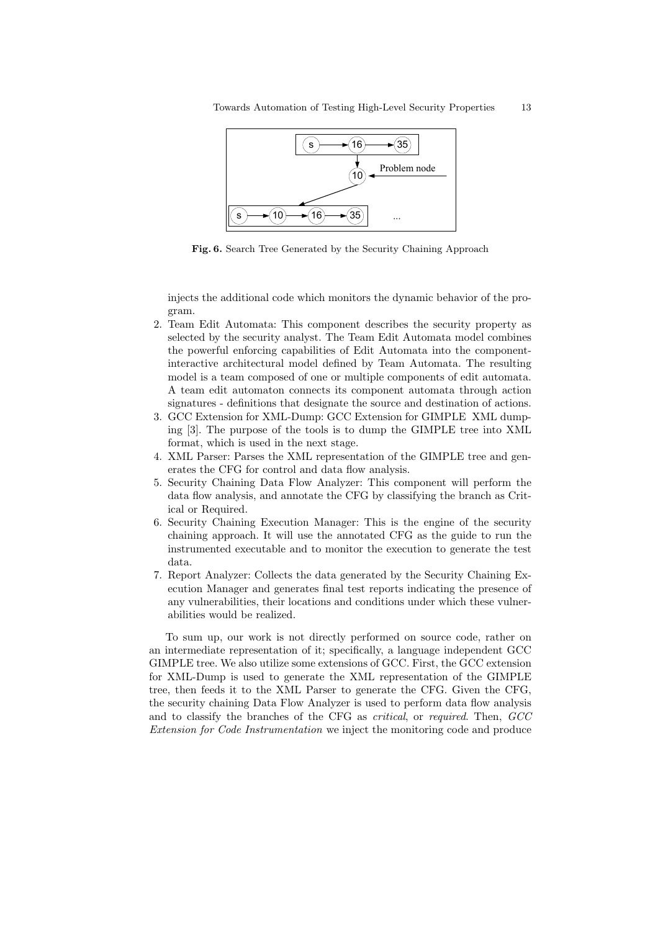

Fig. 6. Search Tree Generated by the Security Chaining Approach

injects the additional code which monitors the dynamic behavior of the program.

- 2. Team Edit Automata: This component describes the security property as selected by the security analyst. The Team Edit Automata model combines the powerful enforcing capabilities of Edit Automata into the componentinteractive architectural model defined by Team Automata. The resulting model is a team composed of one or multiple components of edit automata. A team edit automaton connects its component automata through action signatures - definitions that designate the source and destination of actions.
- 3. GCC Extension for XML-Dump: GCC Extension for GIMPLE XML dumping [3]. The purpose of the tools is to dump the GIMPLE tree into XML format, which is used in the next stage.
- 4. XML Parser: Parses the XML representation of the GIMPLE tree and generates the CFG for control and data flow analysis.
- 5. Security Chaining Data Flow Analyzer: This component will perform the data flow analysis, and annotate the CFG by classifying the branch as Critical or Required.
- 6. Security Chaining Execution Manager: This is the engine of the security chaining approach. It will use the annotated CFG as the guide to run the instrumented executable and to monitor the execution to generate the test data.
- 7. Report Analyzer: Collects the data generated by the Security Chaining Execution Manager and generates final test reports indicating the presence of any vulnerabilities, their locations and conditions under which these vulnerabilities would be realized.

To sum up, our work is not directly performed on source code, rather on an intermediate representation of it; specifically, a language independent GCC GIMPLE tree. We also utilize some extensions of GCC. First, the GCC extension for XML-Dump is used to generate the XML representation of the GIMPLE tree, then feeds it to the XML Parser to generate the CFG. Given the CFG, the security chaining Data Flow Analyzer is used to perform data flow analysis and to classify the branches of the CFG as critical, or required. Then, GCC Extension for Code Instrumentation we inject the monitoring code and produce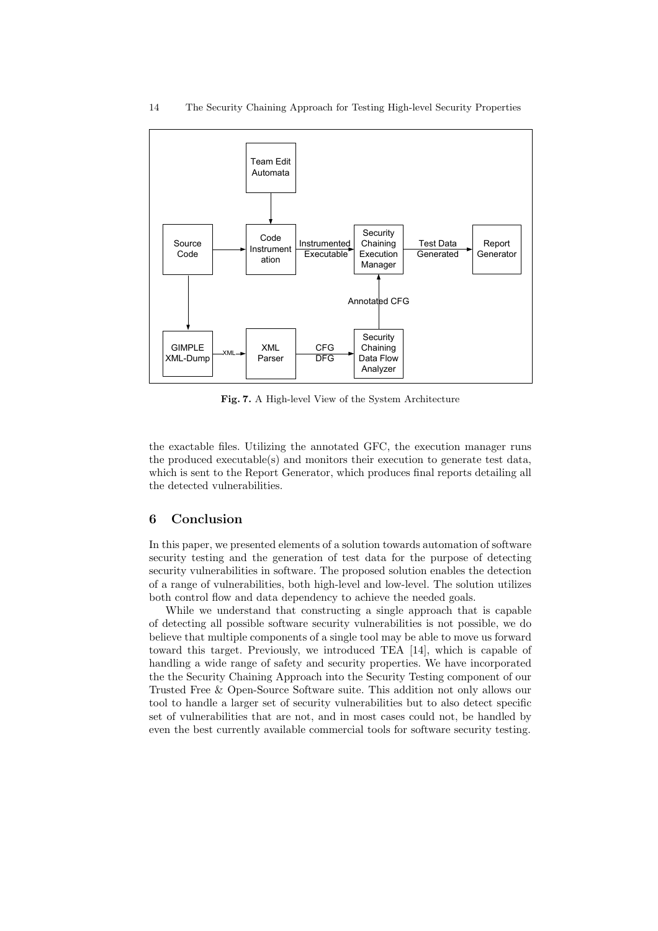

Fig. 7. A High-level View of the System Architecture

the exactable files. Utilizing the annotated GFC, the execution manager runs the produced executable(s) and monitors their execution to generate test data, which is sent to the Report Generator, which produces final reports detailing all the detected vulnerabilities.

## 6 Conclusion

In this paper, we presented elements of a solution towards automation of software security testing and the generation of test data for the purpose of detecting security vulnerabilities in software. The proposed solution enables the detection of a range of vulnerabilities, both high-level and low-level. The solution utilizes both control flow and data dependency to achieve the needed goals.

While we understand that constructing a single approach that is capable of detecting all possible software security vulnerabilities is not possible, we do believe that multiple components of a single tool may be able to move us forward toward this target. Previously, we introduced TEA [14], which is capable of handling a wide range of safety and security properties. We have incorporated the the Security Chaining Approach into the Security Testing component of our Trusted Free & Open-Source Software suite. This addition not only allows our tool to handle a larger set of security vulnerabilities but to also detect specific set of vulnerabilities that are not, and in most cases could not, be handled by even the best currently available commercial tools for software security testing.